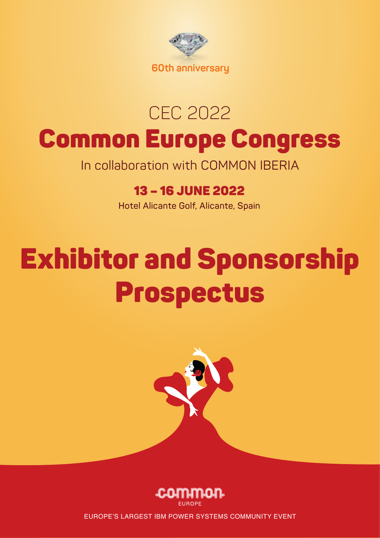

# CEC 2022 Common Europe Congress

In collaboration with COMMON IBERIA

### 13 – 16 JUNE 2022

**Hotel Alicante Golf, Alicante, Spain**

# Exhibitor and Sponsorship Prospectus





EUROPE'S LARGEST IBM POWER SYSTEMS COMMUNITY EVENT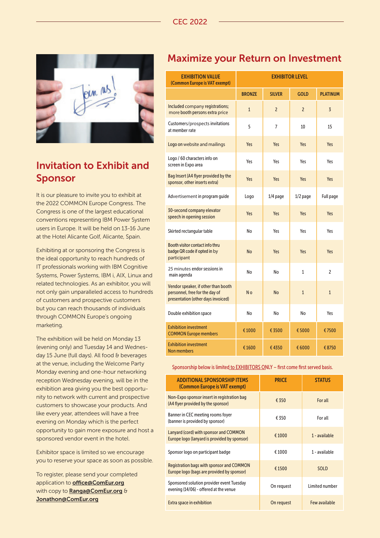

#### Invitation to Exhibit and Sponsor

It is our pleasure to invite you to exhibit at the 2022 COMMON Europe Congress. The Congress is one of the largest educational conventions representing IBM Power System users in Europe. It will be held on 13-16 June at the Hotel Alicante Golf, Alicante, Spain.

Exhibiting at or sponsoring the Congress is the ideal opportunity to reach hundreds of IT professionals working with IBM Cognitive Systems, Power Systems, IBM i, AIX, Linux and related technologies. As an exhibitor, you will not only gain unparalleled access to hundreds of customers and prospective customers but you can reach thousands of individuals through COMMON Europe's ongoing marketing.

The exhibition will be held on Monday 13 (evening only) and Tuesday 14 and Wednesday 15 June (full days). All food & beverages at the venue, including the Welcome Party Monday evening and one-hour networking reception Wednesday evening, will be in the exhibition area giving you the best opportunity to network with current and prospective customers to showcase your products. And like every year, attendees will have a free evening on Monday which is the perfect opportunity to gain more exposure and host a sponsored vendor event in the hotel.

Exhibitor space is limited so we encourage you to reserve your space as soon as possible.

To register, please send your completed application to **office@ComEur.org** with copy to Ranga@ComEur.org & Jonathon@ComEur.org

#### Maximize your Return on Investment

| <b>EXHIBITION VALUE</b><br>(Common Europe is VAT exempt)                                                    | <b>EXHIBITOR LEVEL</b> |                |                |                 |
|-------------------------------------------------------------------------------------------------------------|------------------------|----------------|----------------|-----------------|
|                                                                                                             | <b>BRONZE</b>          | <b>SILVER</b>  | <b>GOLD</b>    | <b>PLATINUM</b> |
| Included company registrations;<br>more booth persons extra price                                           | $\mathbf{1}$           | $\overline{c}$ | $\overline{2}$ | $\overline{3}$  |
| Customers/prospects invitations<br>at member rate                                                           | 5                      | 7              | 10             | 15              |
| Logo on website and mailings                                                                                | Yes                    | Yes            | Yes            | Yes             |
| Logo / 60 characters info on<br>screen in Expo area                                                         | Yes                    | Yes            | Yes            | Yes             |
| Bag Insert (A4 flyer provided by the<br>sponsor, other inserts extra)                                       | Yes                    | Yes            | Yes            | Yes             |
| Advertisement in program guide                                                                              | Logo                   | $1/4$ page     | 1/2 page       | Full page       |
| 30-second company elevator<br>speech in opening session                                                     | Yes                    | Yes            | Yes            | Yes             |
| Skirted rectangular table                                                                                   | No                     | Yes            | Yes            | Yes             |
| Booth visitor contact info thru<br>badge QR code if opted in by<br>participant                              | <b>No</b>              | Yes            | Yes            | Yes             |
| 25 minutes endor sessions in<br>main agenda                                                                 | No                     | No             | 1              | $\overline{c}$  |
| Vendor speaker, if other than booth<br>personnel, free for the day of<br>presentation (other days invoiced) | N <sub>o</sub>         | <b>No</b>      | $\mathbf{1}$   | $\mathbf{1}$    |
| Double exhibition space                                                                                     | No                     | No             | No             | Yes             |
| <b>Exhibition investment</b><br><b>COMMON Europe members</b>                                                | € 1000                 | € 3500         | €5000          | €7500           |
| <b>Exhibition investment</b><br>Non members                                                                 | €1600                  | €4350          | € 6000         | € 8750          |

Sponsorship below is limited to EXHIBITORS ONLY – first come first served basis.

| <b>ADDITIONAL SPONSORSHIP ITEMS</b><br>(Common Europe is VAT exempt)                           | <b>PRICE</b> | <b>STATUS</b>  |
|------------------------------------------------------------------------------------------------|--------------|----------------|
| Non-Expo sponsor insert in registration bag<br>(A4 flyer provided by the sponsor)              | € 350        | For all        |
| Banner in CEC meeting rooms foyer<br>(banner is provided by sponsor)                           | € 350        | For all        |
| Lanyard (cord) with sponsor and COMMON<br>Europe logo (lanyard is provided by sponsor)         | €1000        | 1 - available  |
| Sponsor logo on participant badge                                                              | €1000        | 1 - available  |
| <b>Registration bags with sponsor and COMMON</b><br>Europe logo (bags are provided by sponsor) | € 1500       | <b>SOLD</b>    |
| Sponsored solution provider event Tuesday<br>evening (14/06) - offered at the venue            | On request   | Limited number |
| <b>Extra space in exhibition</b>                                                               | On request   | Few available  |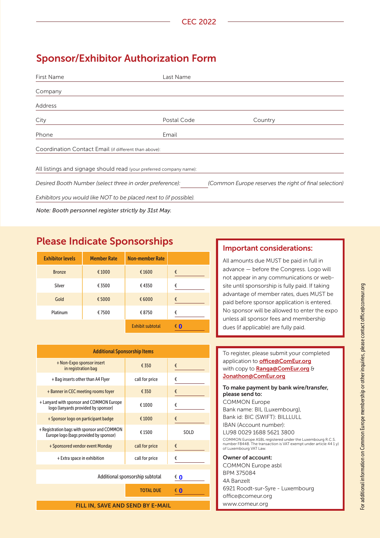#### Sponsor/Exhibitor Authorization Form

| First Name                                               | Last Name                                                           |                                                       |
|----------------------------------------------------------|---------------------------------------------------------------------|-------------------------------------------------------|
| Company                                                  |                                                                     |                                                       |
| Address                                                  |                                                                     |                                                       |
| City                                                     | Postal Code                                                         | Country                                               |
| Phone                                                    | Email                                                               |                                                       |
| Coordination Contact Email (if different than above):    |                                                                     |                                                       |
|                                                          | All listings and signage should read (your preferred company name): |                                                       |
| Desired Booth Number (select three in order preference): |                                                                     | (Common Europe reserves the right of final selection) |
|                                                          | Exhibitors you would like NOT to be placed next to (if possible).   |                                                       |
| Note: Booth personnel register strictly by 31st May.     |                                                                     |                                                       |

#### Please Indicate Sponsorships

| <b>Exhibitor levels</b> | <b>Member Rate</b> | <b>Non-member Rate</b>  |        |
|-------------------------|--------------------|-------------------------|--------|
| <b>Bronze</b>           | € 1000             | €1600                   | €      |
| Silver                  | € 3500             | €4350                   | €      |
| Gold                    | €5000              | € 6000                  | €      |
| Platinum                | €7500              | €8750                   | €      |
|                         |                    | <b>Exhibit subtotal</b> | €<br>0 |

| <b>Additional Sponsorship Items</b>                                                   |                  |        |
|---------------------------------------------------------------------------------------|------------------|--------|
| + Non-Expo sponsor insert<br>in registration bag                                      | € 350            | €      |
| + Bag inserts other than A4 Flyer                                                     | call for price   | €      |
| + Banner in CEC meeting rooms foyer                                                   | € 350            | €      |
| + Lanyard with sponsor and COMMON Europe<br>logo (lanyards provided by sponsor)       | €1000            | €      |
| + Sponsor logo on participant badge                                                   | € 1000           | €      |
| + Registration bags with sponsor and COMMON<br>Europe logo (bags provided by sponsor) | €1500            | SOLD   |
| + Sponsored vendor event Monday                                                       | call for price   | €      |
| + Extra space in exhibition                                                           | call for price   | €      |
|                                                                                       |                  |        |
| Additional sponsorship subtotal                                                       |                  | € 0    |
|                                                                                       | <b>TOTAL DUE</b> | €<br>O |

FILL IN, SAVE AND SEND BY E-MAIL

#### Important considerations:

All amounts due MUST be paid in full in advance — before the Congress. Logo will not appear in any communications or website until sponsorship is fully paid. If taking advantage of member rates, dues MUST be paid before sponsor application is entered. No sponsor will be allowed to enter the expo unless all sponsor fees and membership dues (if applicable) are fully paid.

| To register, please submit your completed<br>application to <b>office@ComEur.org</b><br>with copy to <b>Ranga@ComEur.org</b> &<br>Jonathon@ComEur.org    |
|----------------------------------------------------------------------------------------------------------------------------------------------------------|
| To make payment by bank wire/transfer,<br>please send to:                                                                                                |
| <b>COMMON Europe</b>                                                                                                                                     |
| Bank name: BIL (Luxembourg),                                                                                                                             |
| Bank id: BIC (SWIFT): BILLLULL                                                                                                                           |
| IBAN (Account number):                                                                                                                                   |
| LU98 0029 1688 5621 3800                                                                                                                                 |
| COMMON Europe ASBL registered under the Luxembourg R.C.S.<br>number F8448. The transaction is VAT exempt under article 44 1 y)<br>of Luxembourg VAT Law. |
| Owner of account:                                                                                                                                        |
| COMMON Europe asbl                                                                                                                                       |
| BPM 375084                                                                                                                                               |
| 4A Banzelt                                                                                                                                               |
| 6921 Roodt-sur-Syre - Luxembourg                                                                                                                         |
| office@comeur.org                                                                                                                                        |
| www.comeur.org                                                                                                                                           |